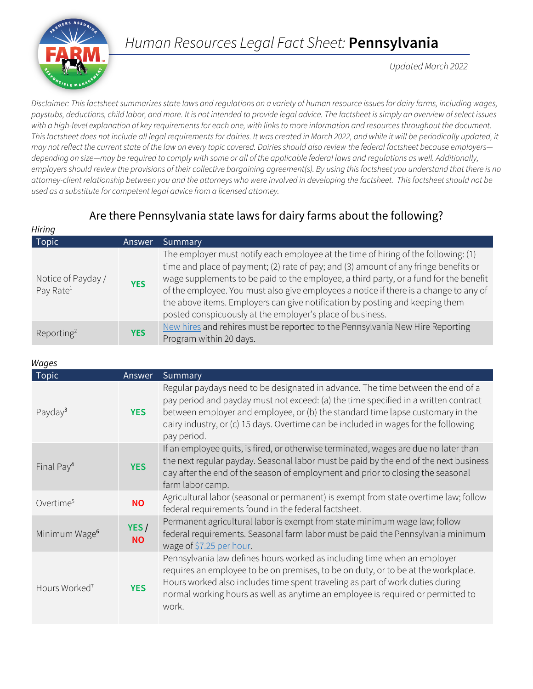

# *Human Resources Legal Fact Sheet:* **Pennsylvania**

*Updated March 2022*

*Disclaimer: This factsheet summarizes state laws and regulations on a variety of human resource issues for dairy farms, including wages, paystubs, deductions, child labor, and more. It is not intended to provide legal advice. The factsheet is simply an overview of select issues with a high-level explanation of key requirements for each one, with links to more information and resources throughout the document.*  This factsheet does not include all legal requirements for dairies. It was created in March 2022, and while it will be periodically updated, it *may not reflect the current state of the law on every topic covered. Dairies should also review the federal factsheet because employers depending on size—may be required to comply with some or all of the applicable federal laws and regulations as well. Additionally, employers should review the provisions of their collective bargaining agreement(s). By using this factsheet you understand that there is no attorney-client relationship between you and the attorneys who were involved in developing the factsheet. This factsheet should not be used as a substitute for competent legal advice from a licensed attorney.*

# Are there Pennsylvania state laws for dairy farms about the following?

| Hiring                                      |            |                                                                                                                                                                                                                                                                                                                                                                                                                                                                                                           |
|---------------------------------------------|------------|-----------------------------------------------------------------------------------------------------------------------------------------------------------------------------------------------------------------------------------------------------------------------------------------------------------------------------------------------------------------------------------------------------------------------------------------------------------------------------------------------------------|
| Topic                                       | Answer     | Summary                                                                                                                                                                                                                                                                                                                                                                                                                                                                                                   |
| Notice of Payday /<br>Pay Rate <sup>1</sup> | <b>YES</b> | The employer must notify each employee at the time of hiring of the following: (1)<br>time and place of payment; (2) rate of pay; and (3) amount of any fringe benefits or<br>wage supplements to be paid to the employee, a third party, or a fund for the benefit<br>of the employee. You must also give employees a notice if there is a change to any of<br>the above items. Employers can give notification by posting and keeping them<br>posted conspicuously at the employer's place of business. |
| Reporting <sup>2</sup>                      | <b>YES</b> | New hires and rehires must be reported to the Pennsylvania New Hire Reporting<br>Program within 20 days.                                                                                                                                                                                                                                                                                                                                                                                                  |

#### *Wages*

| <b>Topic</b>              | Answer            | Summary                                                                                                                                                                                                                                                                                                                                                        |
|---------------------------|-------------------|----------------------------------------------------------------------------------------------------------------------------------------------------------------------------------------------------------------------------------------------------------------------------------------------------------------------------------------------------------------|
| Payday <sup>3</sup>       | <b>YES</b>        | Regular paydays need to be designated in advance. The time between the end of a<br>pay period and payday must not exceed: (a) the time specified in a written contract<br>between employer and employee, or (b) the standard time lapse customary in the<br>dairy industry, or (c) 15 days. Overtime can be included in wages for the following<br>pay period. |
| Final Pay <sup>4</sup>    | <b>YES</b>        | If an employee quits, is fired, or otherwise terminated, wages are due no later than<br>the next regular payday. Seasonal labor must be paid by the end of the next business<br>day after the end of the season of employment and prior to closing the seasonal<br>farm labor camp.                                                                            |
| Overtime <sup>5</sup>     | <b>NO</b>         | Agricultural labor (seasonal or permanent) is exempt from state overtime law; follow<br>federal requirements found in the federal factsheet.                                                                                                                                                                                                                   |
| Minimum Wage <sup>6</sup> | YES/<br><b>NO</b> | Permanent agricultural labor is exempt from state minimum wage law; follow<br>federal requirements. Seasonal farm labor must be paid the Pennsylvania minimum<br>wage of \$7.25 per hour.                                                                                                                                                                      |
| Hours Worked <sup>7</sup> | <b>YES</b>        | Pennsylvania law defines hours worked as including time when an employer<br>requires an employee to be on premises, to be on duty, or to be at the workplace.<br>Hours worked also includes time spent traveling as part of work duties during<br>normal working hours as well as anytime an employee is required or permitted to<br>work.                     |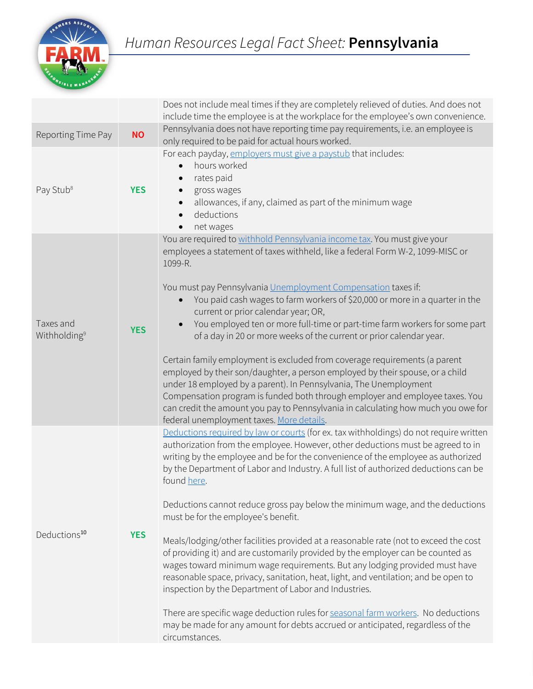

|                                       |            | Does not include meal times if they are completely relieved of duties. And does not<br>include time the employee is at the workplace for the employee's own convenience.                                                                                                                                                                                                                                                                                                                                                                                                                                                                                                                                                                                                                                                                                                                                                                                                                                                                                                                      |
|---------------------------------------|------------|-----------------------------------------------------------------------------------------------------------------------------------------------------------------------------------------------------------------------------------------------------------------------------------------------------------------------------------------------------------------------------------------------------------------------------------------------------------------------------------------------------------------------------------------------------------------------------------------------------------------------------------------------------------------------------------------------------------------------------------------------------------------------------------------------------------------------------------------------------------------------------------------------------------------------------------------------------------------------------------------------------------------------------------------------------------------------------------------------|
| Reporting Time Pay                    | <b>NO</b>  | Pennsylvania does not have reporting time pay requirements, i.e. an employee is<br>only required to be paid for actual hours worked.                                                                                                                                                                                                                                                                                                                                                                                                                                                                                                                                                                                                                                                                                                                                                                                                                                                                                                                                                          |
| Pay Stub <sup>8</sup>                 | <b>YES</b> | For each payday, employers must give a paystub that includes:<br>hours worked<br>$\bullet$<br>rates paid<br>gross wages<br>allowances, if any, claimed as part of the minimum wage<br>$\bullet$<br>deductions<br>$\bullet$<br>net wages<br>$\bullet$                                                                                                                                                                                                                                                                                                                                                                                                                                                                                                                                                                                                                                                                                                                                                                                                                                          |
| Taxes and<br>Withholding <sup>9</sup> | <b>YES</b> | You are required to withhold Pennsylvania income tax. You must give your<br>employees a statement of taxes withheld, like a federal Form W-2, 1099-MISC or<br>1099-R.<br>You must pay Pennsylvania Unemployment Compensation taxes if:<br>You paid cash wages to farm workers of \$20,000 or more in a quarter in the<br>$\bullet$<br>current or prior calendar year; OR,<br>You employed ten or more full-time or part-time farm workers for some part<br>$\bullet$<br>of a day in 20 or more weeks of the current or prior calendar year.<br>Certain family employment is excluded from coverage requirements (a parent<br>employed by their son/daughter, a person employed by their spouse, or a child<br>under 18 employed by a parent). In Pennsylvania, The Unemployment<br>Compensation program is funded both through employer and employee taxes. You<br>can credit the amount you pay to Pennsylvania in calculating how much you owe for<br>federal unemployment taxes. More details.                                                                                             |
| Deductions <sup>10</sup>              | <b>YES</b> | Deductions required by law or courts (for ex. tax withholdings) do not require written<br>authorization from the employee. However, other deductions must be agreed to in<br>writing by the employee and be for the convenience of the employee as authorized<br>by the Department of Labor and Industry. A full list of authorized deductions can be<br>found here.<br>Deductions cannot reduce gross pay below the minimum wage, and the deductions<br>must be for the employee's benefit.<br>Meals/lodging/other facilities provided at a reasonable rate (not to exceed the cost<br>of providing it) and are customarily provided by the employer can be counted as<br>wages toward minimum wage requirements. But any lodging provided must have<br>reasonable space, privacy, sanitation, heat, light, and ventilation; and be open to<br>inspection by the Department of Labor and Industries.<br>There are specific wage deduction rules for seasonal farm workers. No deductions<br>may be made for any amount for debts accrued or anticipated, regardless of the<br>circumstances. |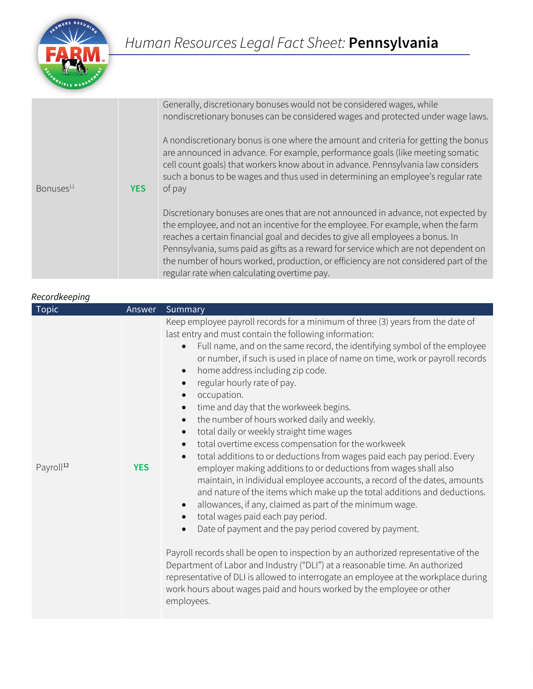

|                       |            | Generally, discretionary bonuses would not be considered wages, while<br>nondiscretionary bonuses can be considered wages and protected under wage laws.                                                                                                                                                                                                                                                                                                                             |
|-----------------------|------------|--------------------------------------------------------------------------------------------------------------------------------------------------------------------------------------------------------------------------------------------------------------------------------------------------------------------------------------------------------------------------------------------------------------------------------------------------------------------------------------|
| Bonuses <sup>11</sup> | <b>YES</b> | A nondiscretionary bonus is one where the amount and criteria for getting the bonus<br>are announced in advance. For example, performance goals (like meeting somatic<br>cell count goals) that workers know about in advance. Pennsylvania law considers<br>such a bonus to be wages and thus used in determining an employee's regular rate<br>of pay                                                                                                                              |
|                       |            | Discretionary bonuses are ones that are not announced in advance, not expected by<br>the employee, and not an incentive for the employee. For example, when the farm<br>reaches a certain financial goal and decides to give all employees a bonus. In<br>Pennsylvania, sums paid as gifts as a reward for service which are not dependent on<br>the number of hours worked, production, or efficiency are not considered part of the<br>regular rate when calculating overtime pay. |

### *Recordkeeping*

| Topic                 | Answer     | Summary                                                                                                                                                                                                                                                                                                                                                                                                                                                                                                                                                                                                                                                                                                                                                                                                                                                                                                                                                                                                                                                                                                                                                                                                                                                                                                                                                                                                                                                                                      |
|-----------------------|------------|----------------------------------------------------------------------------------------------------------------------------------------------------------------------------------------------------------------------------------------------------------------------------------------------------------------------------------------------------------------------------------------------------------------------------------------------------------------------------------------------------------------------------------------------------------------------------------------------------------------------------------------------------------------------------------------------------------------------------------------------------------------------------------------------------------------------------------------------------------------------------------------------------------------------------------------------------------------------------------------------------------------------------------------------------------------------------------------------------------------------------------------------------------------------------------------------------------------------------------------------------------------------------------------------------------------------------------------------------------------------------------------------------------------------------------------------------------------------------------------------|
| Payroll <sup>12</sup> | <b>YES</b> | Keep employee payroll records for a minimum of three (3) years from the date of<br>last entry and must contain the following information:<br>Full name, and on the same record, the identifying symbol of the employee<br>or number, if such is used in place of name on time, work or payroll records<br>home address including zip code.<br>$\bullet$<br>regular hourly rate of pay.<br>occupation.<br>time and day that the workweek begins.<br>$\bullet$<br>the number of hours worked daily and weekly.<br>$\bullet$<br>total daily or weekly straight time wages<br>$\bullet$<br>total overtime excess compensation for the workweek<br>total additions to or deductions from wages paid each pay period. Every<br>employer making additions to or deductions from wages shall also<br>maintain, in individual employee accounts, a record of the dates, amounts<br>and nature of the items which make up the total additions and deductions.<br>allowances, if any, claimed as part of the minimum wage.<br>$\bullet$<br>total wages paid each pay period.<br>$\bullet$<br>Date of payment and the pay period covered by payment.<br>Payroll records shall be open to inspection by an authorized representative of the<br>Department of Labor and Industry ("DLI") at a reasonable time. An authorized<br>representative of DLI is allowed to interrogate an employee at the workplace during<br>work hours about wages paid and hours worked by the employee or other<br>employees. |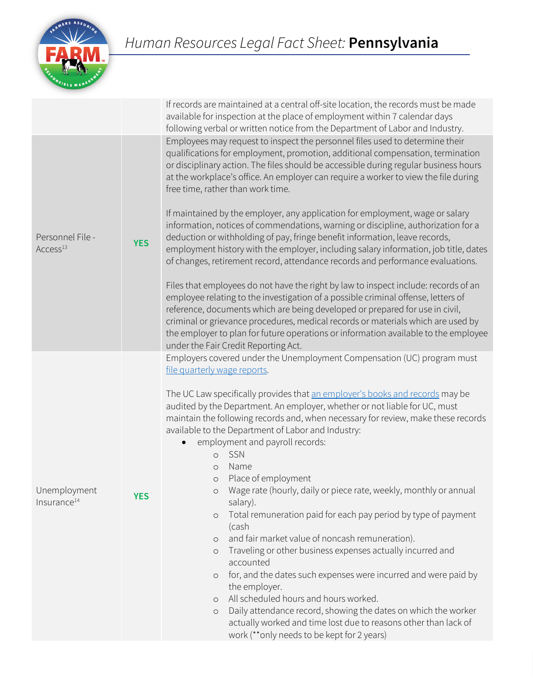

|                                          |            | If records are maintained at a central off-site location, the records must be made<br>available for inspection at the place of employment within 7 calendar days<br>following verbal or written notice from the Department of Labor and Industry.                                                                                                                                                                                                                                                                                                                                                                                                                                                                                                                                                                                                                                                                                                                                                                                                                                                                                                                                                                                                                                                |  |
|------------------------------------------|------------|--------------------------------------------------------------------------------------------------------------------------------------------------------------------------------------------------------------------------------------------------------------------------------------------------------------------------------------------------------------------------------------------------------------------------------------------------------------------------------------------------------------------------------------------------------------------------------------------------------------------------------------------------------------------------------------------------------------------------------------------------------------------------------------------------------------------------------------------------------------------------------------------------------------------------------------------------------------------------------------------------------------------------------------------------------------------------------------------------------------------------------------------------------------------------------------------------------------------------------------------------------------------------------------------------|--|
| Personnel File -<br>Access <sup>13</sup> | <b>YES</b> | Employees may request to inspect the personnel files used to determine their<br>qualifications for employment, promotion, additional compensation, termination<br>or disciplinary action. The files should be accessible during regular business hours<br>at the workplace's office. An employer can require a worker to view the file during<br>free time, rather than work time.<br>If maintained by the employer, any application for employment, wage or salary<br>information, notices of commendations, warning or discipline, authorization for a<br>deduction or withholding of pay, fringe benefit information, leave records,<br>employment history with the employer, including salary information, job title, dates<br>of changes, retirement record, attendance records and performance evaluations.<br>Files that employees do not have the right by law to inspect include: records of an<br>employee relating to the investigation of a possible criminal offense, letters of<br>reference, documents which are being developed or prepared for use in civil,<br>criminal or grievance procedures, medical records or materials which are used by<br>the employer to plan for future operations or information available to the employee<br>under the Fair Credit Reporting Act. |  |
| Unemployment<br>Insurance <sup>14</sup>  | <b>YES</b> | Employers covered under the Unemployment Compensation (UC) program must<br>file quarterly wage reports.<br>The UC Law specifically provides that an employer's books and records may be<br>audited by the Department. An employer, whether or not liable for UC, must<br>maintain the following records and, when necessary for review, make these records<br>available to the Department of Labor and Industry:<br>employment and payroll records:<br>SSN<br>$\circ$<br>Name<br>$\circ$<br>Place of employment<br>$\circ$<br>o Wage rate (hourly, daily or piece rate, weekly, monthly or annual<br>salary).<br>Total remuneration paid for each pay period by type of payment<br>$\circ$<br>(cash<br>and fair market value of noncash remuneration).<br>$\circ$<br>Traveling or other business expenses actually incurred and<br>$\circ$<br>accounted<br>for, and the dates such expenses were incurred and were paid by<br>$\circ$<br>the employer.<br>All scheduled hours and hours worked.<br>$\circ$<br>Daily attendance record, showing the dates on which the worker<br>$\circ$<br>actually worked and time lost due to reasons other than lack of<br>work (**only needs to be kept for 2 years)                                                                                         |  |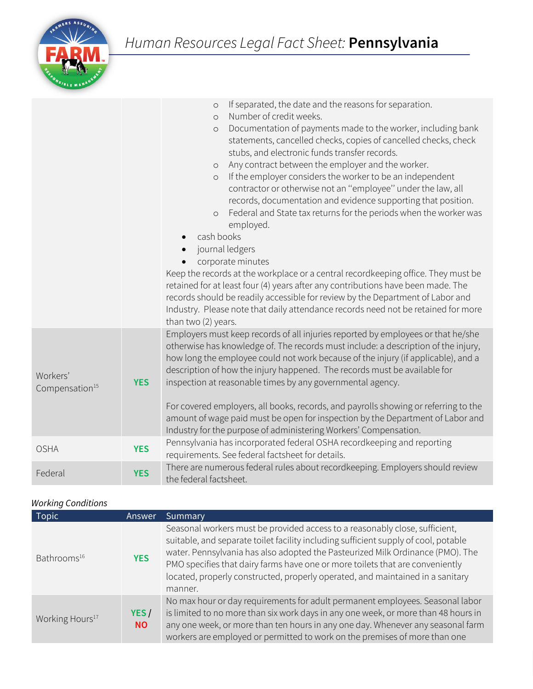

|                                        |            | If separated, the date and the reasons for separation.<br>$\circ$<br>Number of credit weeks.<br>$\circ$<br>Documentation of payments made to the worker, including bank<br>$\circ$<br>statements, cancelled checks, copies of cancelled checks, check<br>stubs, and electronic funds transfer records.<br>Any contract between the employer and the worker.<br>$\circ$<br>If the employer considers the worker to be an independent<br>$\circ$<br>contractor or otherwise not an "employee" under the law, all<br>records, documentation and evidence supporting that position.<br>Federal and State tax returns for the periods when the worker was<br>$\circ$<br>employed.<br>cash books<br>journal ledgers<br>corporate minutes<br>Keep the records at the workplace or a central recordkeeping office. They must be<br>retained for at least four (4) years after any contributions have been made. The<br>records should be readily accessible for review by the Department of Labor and<br>Industry. Please note that daily attendance records need not be retained for more<br>than two (2) years. |  |
|----------------------------------------|------------|-----------------------------------------------------------------------------------------------------------------------------------------------------------------------------------------------------------------------------------------------------------------------------------------------------------------------------------------------------------------------------------------------------------------------------------------------------------------------------------------------------------------------------------------------------------------------------------------------------------------------------------------------------------------------------------------------------------------------------------------------------------------------------------------------------------------------------------------------------------------------------------------------------------------------------------------------------------------------------------------------------------------------------------------------------------------------------------------------------------|--|
| Workers'<br>Compensation <sup>15</sup> | <b>YES</b> | Employers must keep records of all injuries reported by employees or that he/she<br>otherwise has knowledge of. The records must include: a description of the injury,<br>how long the employee could not work because of the injury (if applicable), and a<br>description of how the injury happened. The records must be available for<br>inspection at reasonable times by any governmental agency.<br>For covered employers, all books, records, and payrolls showing or referring to the<br>amount of wage paid must be open for inspection by the Department of Labor and<br>Industry for the purpose of administering Workers' Compensation.                                                                                                                                                                                                                                                                                                                                                                                                                                                       |  |
| <b>OSHA</b>                            | <b>YES</b> | Pennsylvania has incorporated federal OSHA recordkeeping and reporting<br>requirements. See federal factsheet for details.                                                                                                                                                                                                                                                                                                                                                                                                                                                                                                                                                                                                                                                                                                                                                                                                                                                                                                                                                                                |  |
| Federal                                | <b>YES</b> | There are numerous federal rules about recordkeeping. Employers should review<br>the federal factsheet.                                                                                                                                                                                                                                                                                                                                                                                                                                                                                                                                                                                                                                                                                                                                                                                                                                                                                                                                                                                                   |  |

## *Working Conditions*

| Topic                       | <b>Answer</b>     | Summary                                                                                                                                                                                                                                                                                                                                                                                                                            |
|-----------------------------|-------------------|------------------------------------------------------------------------------------------------------------------------------------------------------------------------------------------------------------------------------------------------------------------------------------------------------------------------------------------------------------------------------------------------------------------------------------|
| Bathrooms <sup>16</sup>     | <b>YES</b>        | Seasonal workers must be provided access to a reasonably close, sufficient,<br>suitable, and separate toilet facility including sufficient supply of cool, potable<br>water. Pennsylvania has also adopted the Pasteurized Milk Ordinance (PMO). The<br>PMO specifies that dairy farms have one or more toilets that are conveniently<br>located, properly constructed, properly operated, and maintained in a sanitary<br>manner. |
| Working Hours <sup>17</sup> | YES/<br><b>NO</b> | No max hour or day requirements for adult permanent employees. Seasonal labor<br>is limited to no more than six work days in any one week, or more than 48 hours in<br>any one week, or more than ten hours in any one day. Whenever any seasonal farm<br>workers are employed or permitted to work on the premises of more than one                                                                                               |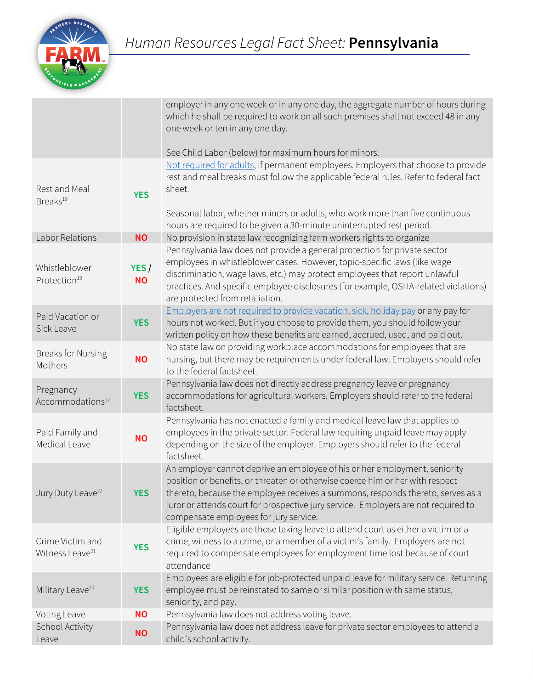

|                                                 |                   | employer in any one week or in any one day, the aggregate number of hours during<br>which he shall be required to work on all such premises shall not exceed 48 in any<br>one week or ten in any one day.                                                                                                                                                                      |
|-------------------------------------------------|-------------------|--------------------------------------------------------------------------------------------------------------------------------------------------------------------------------------------------------------------------------------------------------------------------------------------------------------------------------------------------------------------------------|
|                                                 |                   | See Child Labor (below) for maximum hours for minors.                                                                                                                                                                                                                                                                                                                          |
| Rest and Meal<br>Breaks <sup>18</sup>           | <b>YES</b>        | Not required for adults, if permanent employees. Employers that choose to provide<br>rest and meal breaks must follow the applicable federal rules. Refer to federal fact<br>sheet.<br>Seasonal labor, whether minors or adults, who work more than five continuous                                                                                                            |
|                                                 |                   | hours are required to be given a 30-minute uninterrupted rest period.                                                                                                                                                                                                                                                                                                          |
| Labor Relations                                 | <b>NO</b>         | No provision in state law recognizing farm workers rights to organize                                                                                                                                                                                                                                                                                                          |
| Whistleblower<br>Protection <sup>19</sup>       | YES/<br><b>NO</b> | Pennsylvania law does not provide a general protection for private sector<br>employees in whistleblower cases. However, topic-specific laws (like wage<br>discrimination, wage laws, etc.) may protect employees that report unlawful<br>practices. And specific employee disclosures (for example, OSHA-related violations)<br>are protected from retaliation.                |
| Paid Vacation or<br>Sick Leave                  | <b>YES</b>        | Employers are not required to provide vacation, sick, holiday pay or any pay for<br>hours not worked. But if you choose to provide them, you should follow your<br>written policy on how these benefits are earned, accrued, used, and paid out.                                                                                                                               |
| <b>Breaks for Nursing</b><br>Mothers            | <b>NO</b>         | No state law on providing workplace accommodations for employees that are<br>nursing, but there may be requirements under federal law. Employers should refer<br>to the federal factsheet.                                                                                                                                                                                     |
| Pregnancy<br>Accommodations <sup>17</sup>       | <b>YES</b>        | Pennsylvania law does not directly address pregnancy leave or pregnancy<br>accommodations for agricultural workers. Employers should refer to the federal<br>factsheet.                                                                                                                                                                                                        |
| Paid Family and<br>Medical Leave                | <b>NO</b>         | Pennsylvania has not enacted a family and medical leave law that applies to<br>employees in the private sector. Federal law requiring unpaid leave may apply<br>depending on the size of the employer. Employers should refer to the federal<br>factsheet.                                                                                                                     |
| Jury Duty Leave <sup>22</sup>                   | <b>YES</b>        | An employer cannot deprive an employee of his or her employment, seniority<br>position or benefits, or threaten or otherwise coerce him or her with respect<br>thereto, because the employee receives a summons, responds thereto, serves as a<br>juror or attends court for prospective jury service. Employers are not required to<br>compensate employees for jury service. |
| Crime Victim and<br>Witness Leave <sup>21</sup> | <b>YES</b>        | Eligible employees are those taking leave to attend court as either a victim or a<br>crime, witness to a crime, or a member of a victim's family. Employers are not<br>required to compensate employees for employment time lost because of court<br>attendance                                                                                                                |
| Military Leave <sup>20</sup>                    | <b>YES</b>        | Employees are eligible for job-protected unpaid leave for military service. Returning<br>employee must be reinstated to same or similar position with same status,<br>seniority, and pay.                                                                                                                                                                                      |
| Voting Leave                                    | <b>NO</b>         | Pennsylvania law does not address voting leave.                                                                                                                                                                                                                                                                                                                                |
| School Activity<br>Leave                        | <b>NO</b>         | Pennsylvania law does not address leave for private sector employees to attend a<br>child's school activity.                                                                                                                                                                                                                                                                   |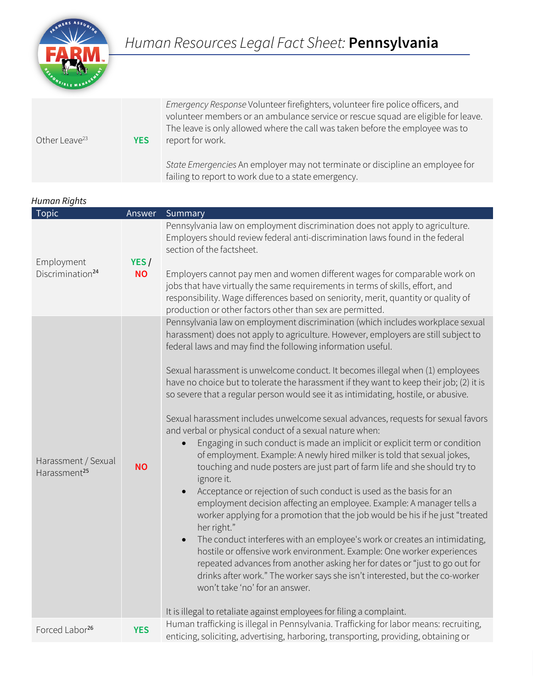

| Other Leave <sup>23</sup> | <b>YES</b> | Emergency Response Volunteer firefighters, volunteer fire police officers, and<br>volunteer members or an ambulance service or rescue squad are eligible for leave.<br>The leave is only allowed where the call was taken before the employee was to<br>report for work. |
|---------------------------|------------|--------------------------------------------------------------------------------------------------------------------------------------------------------------------------------------------------------------------------------------------------------------------------|
|                           |            | State Emergencies An employer may not terminate or discipline an employee for<br>failing to report to work due to a state emergency.                                                                                                                                     |

| Human Rights |  |
|--------------|--|
|              |  |

| <b>Topic</b>                                    | Answer            | Summary                                                                                                                                                                                                                                                                                                                                                                                                                                                                                                                                                                                                                                                                                                                                                                                                                                                                                                                                                                                                                                                                                                                                                                                                                                                                                                                                                                                                                                                                                                                                                                                               |  |
|-------------------------------------------------|-------------------|-------------------------------------------------------------------------------------------------------------------------------------------------------------------------------------------------------------------------------------------------------------------------------------------------------------------------------------------------------------------------------------------------------------------------------------------------------------------------------------------------------------------------------------------------------------------------------------------------------------------------------------------------------------------------------------------------------------------------------------------------------------------------------------------------------------------------------------------------------------------------------------------------------------------------------------------------------------------------------------------------------------------------------------------------------------------------------------------------------------------------------------------------------------------------------------------------------------------------------------------------------------------------------------------------------------------------------------------------------------------------------------------------------------------------------------------------------------------------------------------------------------------------------------------------------------------------------------------------------|--|
| Employment<br>Discrimination <sup>24</sup>      | YES/<br><b>NO</b> | Pennsylvania law on employment discrimination does not apply to agriculture.<br>Employers should review federal anti-discrimination laws found in the federal<br>section of the factsheet.<br>Employers cannot pay men and women different wages for comparable work on<br>jobs that have virtually the same requirements in terms of skills, effort, and<br>responsibility. Wage differences based on seniority, merit, quantity or quality of<br>production or other factors other than sex are permitted.                                                                                                                                                                                                                                                                                                                                                                                                                                                                                                                                                                                                                                                                                                                                                                                                                                                                                                                                                                                                                                                                                          |  |
| Harassment / Sexual<br>Harassment <sup>25</sup> | <b>NO</b>         | Pennsylvania law on employment discrimination (which includes workplace sexual<br>harassment) does not apply to agriculture. However, employers are still subject to<br>federal laws and may find the following information useful.<br>Sexual harassment is unwelcome conduct. It becomes illegal when (1) employees<br>have no choice but to tolerate the harassment if they want to keep their job; (2) it is<br>so severe that a regular person would see it as intimidating, hostile, or abusive.<br>Sexual harassment includes unwelcome sexual advances, requests for sexual favors<br>and verbal or physical conduct of a sexual nature when:<br>Engaging in such conduct is made an implicit or explicit term or condition<br>of employment. Example: A newly hired milker is told that sexual jokes,<br>touching and nude posters are just part of farm life and she should try to<br>ignore it.<br>Acceptance or rejection of such conduct is used as the basis for an<br>employment decision affecting an employee. Example: A manager tells a<br>worker applying for a promotion that the job would be his if he just "treated<br>her right."<br>The conduct interferes with an employee's work or creates an intimidating,<br>$\bullet$<br>hostile or offensive work environment. Example: One worker experiences<br>repeated advances from another asking her for dates or "just to go out for<br>drinks after work." The worker says she isn't interested, but the co-worker<br>won't take 'no' for an answer.<br>It is illegal to retaliate against employees for filing a complaint. |  |
| Forced Labor <sup>26</sup>                      | <b>YES</b>        | Human trafficking is illegal in Pennsylvania. Trafficking for labor means: recruiting,<br>enticing, soliciting, advertising, harboring, transporting, providing, obtaining or                                                                                                                                                                                                                                                                                                                                                                                                                                                                                                                                                                                                                                                                                                                                                                                                                                                                                                                                                                                                                                                                                                                                                                                                                                                                                                                                                                                                                         |  |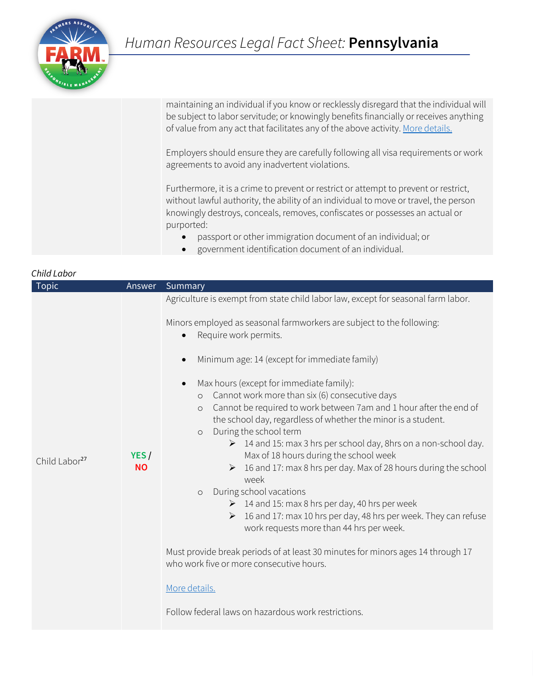

| maintaining an individual if you know or recklessly disregard that the individual will |
|----------------------------------------------------------------------------------------|
| be subject to labor servitude; or knowingly benefits financially or receives anything  |
| of value from any act that facilitates any of the above activity. More details.        |

Employers should ensure they are carefully following all visa requirements or work agreements to avoid any inadvertent violations.

Furthermore, it is a crime to prevent or restrict or attempt to prevent or restrict, without lawful authority, the ability of an individual to move or travel, the person knowingly destroys, conceals, removes, confiscates or possesses an actual or purported:

- passport or other immigration document of an individual; or
- government identification document of an individual.

| Child Labor               |                   |                                                                                                                                                                                                                                                                                                                                                                                                                                                                                                                                                                                                                                                                                                                                                                                                                                                                                  |  |  |
|---------------------------|-------------------|----------------------------------------------------------------------------------------------------------------------------------------------------------------------------------------------------------------------------------------------------------------------------------------------------------------------------------------------------------------------------------------------------------------------------------------------------------------------------------------------------------------------------------------------------------------------------------------------------------------------------------------------------------------------------------------------------------------------------------------------------------------------------------------------------------------------------------------------------------------------------------|--|--|
| <b>Topic</b>              | Answer            | Summary                                                                                                                                                                                                                                                                                                                                                                                                                                                                                                                                                                                                                                                                                                                                                                                                                                                                          |  |  |
| Child Labor <sup>27</sup> |                   | Agriculture is exempt from state child labor law, except for seasonal farm labor.                                                                                                                                                                                                                                                                                                                                                                                                                                                                                                                                                                                                                                                                                                                                                                                                |  |  |
|                           |                   | Minors employed as seasonal farmworkers are subject to the following:<br>Require work permits.                                                                                                                                                                                                                                                                                                                                                                                                                                                                                                                                                                                                                                                                                                                                                                                   |  |  |
|                           |                   | Minimum age: 14 (except for immediate family)                                                                                                                                                                                                                                                                                                                                                                                                                                                                                                                                                                                                                                                                                                                                                                                                                                    |  |  |
|                           | YES/<br><b>NO</b> | Max hours (except for immediate family):<br>$\bullet$<br>Cannot work more than six (6) consecutive days<br>$\circ$<br>Cannot be required to work between 7am and 1 hour after the end of<br>$\circ$<br>the school day, regardless of whether the minor is a student.<br>During the school term<br>$\circ$<br>> 14 and 15: max 3 hrs per school day, 8hrs on a non-school day.<br>Max of 18 hours during the school week<br>16 and 17: max 8 hrs per day. Max of 28 hours during the school<br>week<br>During school vacations<br>$\circ$<br>$\geq 14$ and 15: max 8 hrs per day, 40 hrs per week<br>$\triangleright$ 16 and 17: max 10 hrs per day, 48 hrs per week. They can refuse<br>work requests more than 44 hrs per week.<br>Must provide break periods of at least 30 minutes for minors ages 14 through 17<br>who work five or more consecutive hours.<br>More details. |  |  |
|                           |                   | Follow federal laws on hazardous work restrictions.                                                                                                                                                                                                                                                                                                                                                                                                                                                                                                                                                                                                                                                                                                                                                                                                                              |  |  |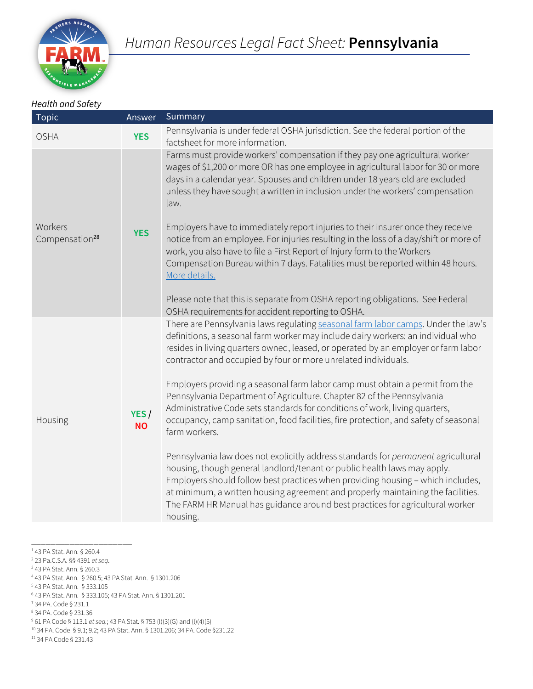

#### *Health and Safety*

| <b>Topic</b>                          | Answer            | Summary                                                                                                                                                                                                                                                                                                                                                                                                                                                                                                                                                                                                                                                                                                                                                                                                                                                                                                                                                                                                                                                                                                              |
|---------------------------------------|-------------------|----------------------------------------------------------------------------------------------------------------------------------------------------------------------------------------------------------------------------------------------------------------------------------------------------------------------------------------------------------------------------------------------------------------------------------------------------------------------------------------------------------------------------------------------------------------------------------------------------------------------------------------------------------------------------------------------------------------------------------------------------------------------------------------------------------------------------------------------------------------------------------------------------------------------------------------------------------------------------------------------------------------------------------------------------------------------------------------------------------------------|
| <b>OSHA</b>                           | <b>YES</b>        | Pennsylvania is under federal OSHA jurisdiction. See the federal portion of the<br>factsheet for more information.                                                                                                                                                                                                                                                                                                                                                                                                                                                                                                                                                                                                                                                                                                                                                                                                                                                                                                                                                                                                   |
| Workers<br>Compensation <sup>28</sup> | <b>YES</b>        | Farms must provide workers' compensation if they pay one agricultural worker<br>wages of \$1,200 or more OR has one employee in agricultural labor for 30 or more<br>days in a calendar year. Spouses and children under 18 years old are excluded<br>unless they have sought a written in inclusion under the workers' compensation<br>law.<br>Employers have to immediately report injuries to their insurer once they receive<br>notice from an employee. For injuries resulting in the loss of a day/shift or more of<br>work, you also have to file a First Report of Injury form to the Workers<br>Compensation Bureau within 7 days. Fatalities must be reported within 48 hours.<br>More details.<br>Please note that this is separate from OSHA reporting obligations. See Federal<br>OSHA requirements for accident reporting to OSHA.                                                                                                                                                                                                                                                                     |
| Housing                               | YES/<br><b>NO</b> | There are Pennsylvania laws regulating seasonal farm labor camps. Under the law's<br>definitions, a seasonal farm worker may include dairy workers: an individual who<br>resides in living quarters owned, leased, or operated by an employer or farm labor<br>contractor and occupied by four or more unrelated individuals.<br>Employers providing a seasonal farm labor camp must obtain a permit from the<br>Pennsylvania Department of Agriculture. Chapter 82 of the Pennsylvania<br>Administrative Code sets standards for conditions of work, living quarters,<br>occupancy, camp sanitation, food facilities, fire protection, and safety of seasonal<br>farm workers.<br>Pennsylvania law does not explicitly address standards for permanent agricultural<br>housing, though general landlord/tenant or public health laws may apply.<br>Employers should follow best practices when providing housing - which includes,<br>at minimum, a written housing agreement and properly maintaining the facilities.<br>The FARM HR Manual has guidance around best practices for agricultural worker<br>housing. |

\_\_\_\_\_\_\_\_\_\_\_\_\_\_\_\_\_\_\_\_\_ <sup>1</sup> 43 PA Stat. Ann. § 260.4<br><sup>2</sup> 23 Pa.C.S.A. §§ 4391 *et seq.*  23 Pa.C.S.A. §§ 4391 *et seq*. 3 43 PA Stat. Ann. § 260.3 43 PA Stat. Ann. § 260.5; 43 PA Stat. Ann. § 1301.206 43 PA Stat. Ann. § 333.105 43 PA Stat. Ann. § 333.105; 43 PA Stat. Ann. § 1301.201 34 PA. Code § 231.1 34 PA. Code § 231.36 61 PA Code § 113.1 *et seq.*; 43 PA Stat. § 753 (l)(3)(G) and (l)(4)(5) 34 PA. Code § 9.1; 9.2; 43 PA Stat. Ann. § 1301.206; 34 PA. Code §231.22 34 PA Code § 231.43